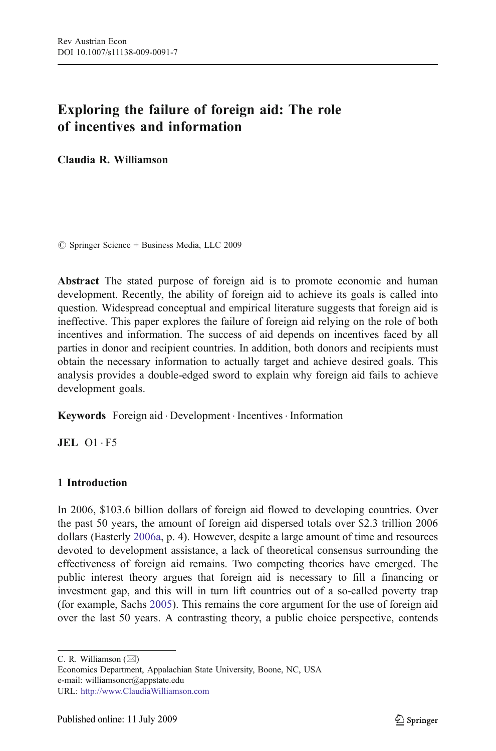# Exploring the failure of foreign aid: The role of incentives and information

Claudia R. Williamson

 $\oslash$  Springer Science + Business Media, LLC 2009

Abstract The stated purpose of foreign aid is to promote economic and human development. Recently, the ability of foreign aid to achieve its goals is called into question. Widespread conceptual and empirical literature suggests that foreign aid is ineffective. This paper explores the failure of foreign aid relying on the role of both incentives and information. The success of aid depends on incentives faced by all parties in donor and recipient countries. In addition, both donors and recipients must obtain the necessary information to actually target and achieve desired goals. This analysis provides a double-edged sword to explain why foreign aid fails to achieve development goals.

Keywords Foreign aid . Development . Incentives . Information

**JEL 01 · F5** 

## 1 Introduction

In 2006, \$103.6 billion dollars of foreign aid flowed to developing countries. Over the past 50 years, the amount of foreign aid dispersed totals over \$2.3 trillion 2006 dollars (Easterly [2006a,](#page-15-0) p. 4). However, despite a large amount of time and resources devoted to development assistance, a lack of theoretical consensus surrounding the effectiveness of foreign aid remains. Two competing theories have emerged. The public interest theory argues that foreign aid is necessary to fill a financing or investment gap, and this will in turn lift countries out of a so-called poverty trap (for example, Sachs [2005\)](#page-15-0). This remains the core argument for the use of foreign aid over the last 50 years. A contrasting theory, a public choice perspective, contends

C. R. Williamson (*\**)

Economics Department, Appalachian State University, Boone, NC, USA e-mail: williamsoncr@appstate.edu URL: http://www.ClaudiaWilliamson.com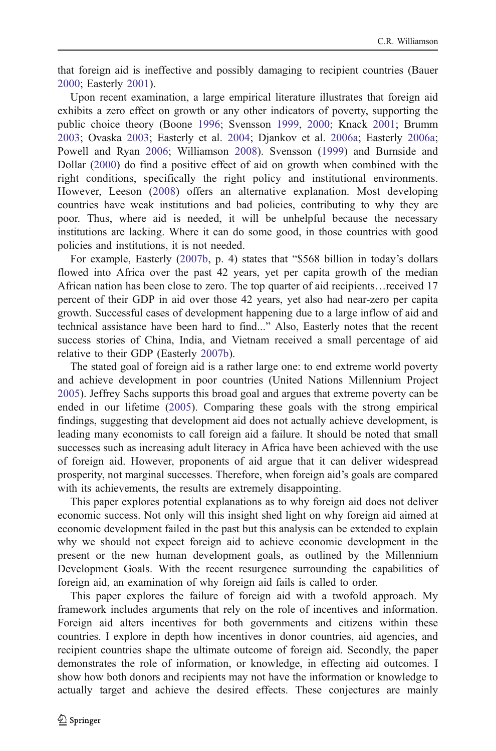that foreign aid is ineffective and possibly damaging to recipient countries (Bauer [2000;](#page-14-0) Easterly [2001](#page-15-0)).

Upon recent examination, a large empirical literature illustrates that foreign aid exhibits a zero effect on growth or any other indicators of poverty, supporting the public choice theory (Boone [1996](#page-14-0); Svensson [1999](#page-15-0), [2000](#page-15-0); Knack [2001;](#page-15-0) Brumm [2003;](#page-14-0) Ovaska [2003](#page-15-0); Easterly et al. [2004;](#page-15-0) Djankov et al. [2006a](#page-15-0); Easterly [2006a;](#page-15-0) Powell and Ryan [2006](#page-15-0); Williamson [2008](#page-16-0)). Svensson ([1999\)](#page-15-0) and Burnside and Dollar [\(2000](#page-14-0)) do find a positive effect of aid on growth when combined with the right conditions, specifically the right policy and institutional environments. However, Leeson [\(2008\)](#page-15-0) offers an alternative explanation. Most developing countries have weak institutions and bad policies, contributing to why they are poor. Thus, where aid is needed, it will be unhelpful because the necessary institutions are lacking. Where it can do some good, in those countries with good policies and institutions, it is not needed.

For example, Easterly [\(2007b](#page-15-0), p. 4) states that "\$568 billion in today's dollars flowed into Africa over the past 42 years, yet per capita growth of the median African nation has been close to zero. The top quarter of aid recipients…received 17 percent of their GDP in aid over those 42 years, yet also had near-zero per capita growth. Successful cases of development happening due to a large inflow of aid and technical assistance have been hard to find..." Also, Easterly notes that the recent success stories of China, India, and Vietnam received a small percentage of aid relative to their GDP (Easterly [2007b\)](#page-15-0).

The stated goal of foreign aid is a rather large one: to end extreme world poverty and achieve development in poor countries (United Nations Millennium Project [2005\)](#page-16-0). Jeffrey Sachs supports this broad goal and argues that extreme poverty can be ended in our lifetime ([2005\)](#page-15-0). Comparing these goals with the strong empirical findings, suggesting that development aid does not actually achieve development, is leading many economists to call foreign aid a failure. It should be noted that small successes such as increasing adult literacy in Africa have been achieved with the use of foreign aid. However, proponents of aid argue that it can deliver widespread prosperity, not marginal successes. Therefore, when foreign aid's goals are compared with its achievements, the results are extremely disappointing.

This paper explores potential explanations as to why foreign aid does not deliver economic success. Not only will this insight shed light on why foreign aid aimed at economic development failed in the past but this analysis can be extended to explain why we should not expect foreign aid to achieve economic development in the present or the new human development goals, as outlined by the Millennium Development Goals. With the recent resurgence surrounding the capabilities of foreign aid, an examination of why foreign aid fails is called to order.

This paper explores the failure of foreign aid with a twofold approach. My framework includes arguments that rely on the role of incentives and information. Foreign aid alters incentives for both governments and citizens within these countries. I explore in depth how incentives in donor countries, aid agencies, and recipient countries shape the ultimate outcome of foreign aid. Secondly, the paper demonstrates the role of information, or knowledge, in effecting aid outcomes. I show how both donors and recipients may not have the information or knowledge to actually target and achieve the desired effects. These conjectures are mainly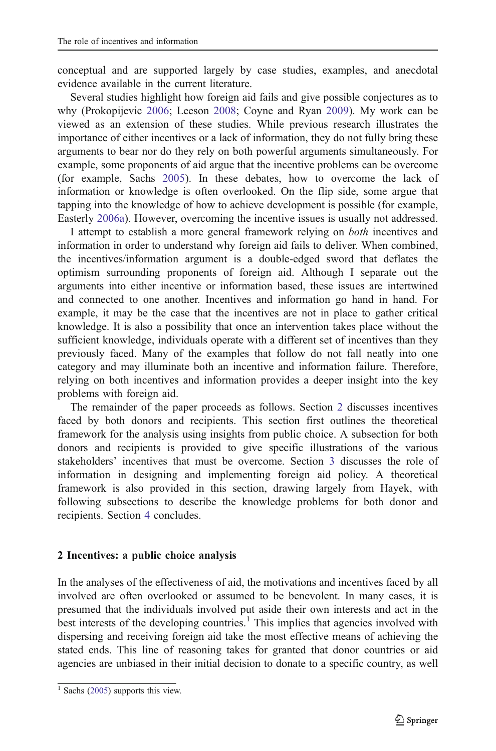conceptual and are supported largely by case studies, examples, and anecdotal evidence available in the current literature.

Several studies highlight how foreign aid fails and give possible conjectures as to why (Prokopijevic [2006;](#page-15-0) Leeson [2008](#page-15-0); Coyne and Ryan [2009](#page-15-0)). My work can be viewed as an extension of these studies. While previous research illustrates the importance of either incentives or a lack of information, they do not fully bring these arguments to bear nor do they rely on both powerful arguments simultaneously. For example, some proponents of aid argue that the incentive problems can be overcome (for example, Sachs [2005](#page-15-0)). In these debates, how to overcome the lack of information or knowledge is often overlooked. On the flip side, some argue that tapping into the knowledge of how to achieve development is possible (for example, Easterly [2006a](#page-15-0)). However, overcoming the incentive issues is usually not addressed.

I attempt to establish a more general framework relying on both incentives and information in order to understand why foreign aid fails to deliver. When combined, the incentives/information argument is a double-edged sword that deflates the optimism surrounding proponents of foreign aid. Although I separate out the arguments into either incentive or information based, these issues are intertwined and connected to one another. Incentives and information go hand in hand. For example, it may be the case that the incentives are not in place to gather critical knowledge. It is also a possibility that once an intervention takes place without the sufficient knowledge, individuals operate with a different set of incentives than they previously faced. Many of the examples that follow do not fall neatly into one category and may illuminate both an incentive and information failure. Therefore, relying on both incentives and information provides a deeper insight into the key problems with foreign aid.

The remainder of the paper proceeds as follows. Section 2 discusses incentives faced by both donors and recipients. This section first outlines the theoretical framework for the analysis using insights from public choice. A subsection for both donors and recipients is provided to give specific illustrations of the various stakeholders' incentives that must be overcome. Section [3](#page-9-0) discusses the role of information in designing and implementing foreign aid policy. A theoretical framework is also provided in this section, drawing largely from Hayek, with following subsections to describe the knowledge problems for both donor and recipients. Section [4](#page-14-0) concludes.

## 2 Incentives: a public choice analysis

In the analyses of the effectiveness of aid, the motivations and incentives faced by all involved are often overlooked or assumed to be benevolent. In many cases, it is presumed that the individuals involved put aside their own interests and act in the best interests of the developing countries.<sup>1</sup> This implies that agencies involved with dispersing and receiving foreign aid take the most effective means of achieving the stated ends. This line of reasoning takes for granted that donor countries or aid agencies are unbiased in their initial decision to donate to a specific country, as well

 $1$  Sachs ([2005\)](#page-15-0) supports this view.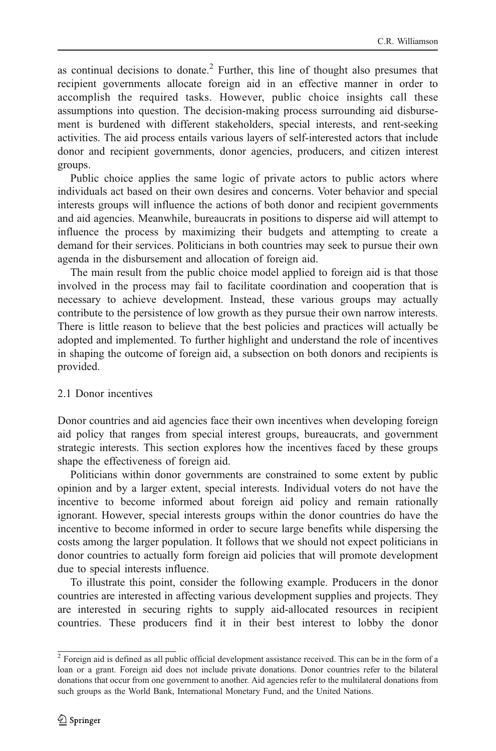as continual decisions to donate. $<sup>2</sup>$  Further, this line of thought also presumes that</sup> recipient governments allocate foreign aid in an effective manner in order to accomplish the required tasks. However, public choice insights call these assumptions into question. The decision-making process surrounding aid disbursement is burdened with different stakeholders, special interests, and rent-seeking activities. The aid process entails various layers of self-interested actors that include donor and recipient governments, donor agencies, producers, and citizen interest groups.

Public choice applies the same logic of private actors to public actors where individuals act based on their own desires and concerns. Voter behavior and special interests groups will influence the actions of both donor and recipient governments and aid agencies. Meanwhile, bureaucrats in positions to disperse aid will attempt to influence the process by maximizing their budgets and attempting to create a demand for their services. Politicians in both countries may seek to pursue their own agenda in the disbursement and allocation of foreign aid.

The main result from the public choice model applied to foreign aid is that those involved in the process may fail to facilitate coordination and cooperation that is necessary to achieve development. Instead, these various groups may actually contribute to the persistence of low growth as they pursue their own narrow interests. There is little reason to believe that the best policies and practices will actually be adopted and implemented. To further highlight and understand the role of incentives in shaping the outcome of foreign aid, a subsection on both donors and recipients is provided.

## 2.1 Donor incentives

Donor countries and aid agencies face their own incentives when developing foreign aid policy that ranges from special interest groups, bureaucrats, and government strategic interests. This section explores how the incentives faced by these groups shape the effectiveness of foreign aid.

Politicians within donor governments are constrained to some extent by public opinion and by a larger extent, special interests. Individual voters do not have the incentive to become informed about foreign aid policy and remain rationally ignorant. However, special interests groups within the donor countries do have the incentive to become informed in order to secure large benefits while dispersing the costs among the larger population. It follows that we should not expect politicians in donor countries to actually form foreign aid policies that will promote development due to special interests influence.

To illustrate this point, consider the following example. Producers in the donor countries are interested in affecting various development supplies and projects. They are interested in securing rights to supply aid-allocated resources in recipient countries. These producers find it in their best interest to lobby the donor

<sup>2</sup> Foreign aid is defined as all public official development assistance received. This can be in the form of a loan or a grant. Foreign aid does not include private donations. Donor countries refer to the bilateral donations that occur from one government to another. Aid agencies refer to the multilateral donations from such groups as the World Bank, International Monetary Fund, and the United Nations.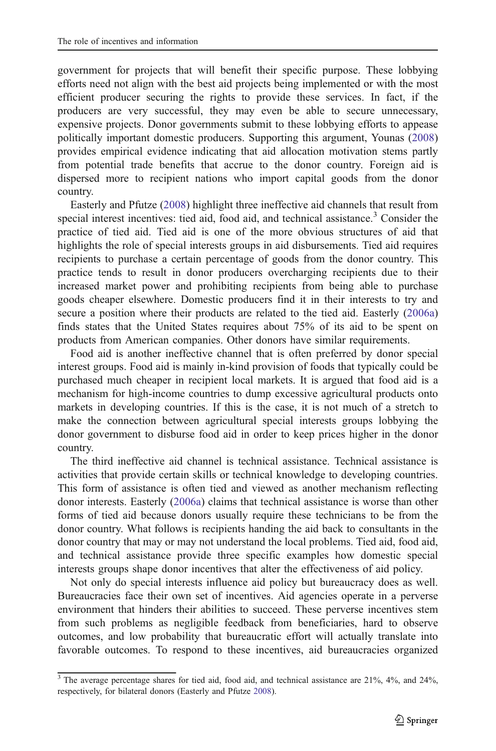government for projects that will benefit their specific purpose. These lobbying efforts need not align with the best aid projects being implemented or with the most efficient producer securing the rights to provide these services. In fact, if the producers are very successful, they may even be able to secure unnecessary, expensive projects. Donor governments submit to these lobbying efforts to appease politically important domestic producers. Supporting this argument, Younas [\(2008](#page-16-0)) provides empirical evidence indicating that aid allocation motivation stems partly from potential trade benefits that accrue to the donor country. Foreign aid is dispersed more to recipient nations who import capital goods from the donor country.

Easterly and Pfutze ([2008\)](#page-15-0) highlight three ineffective aid channels that result from special interest incentives: tied aid, food aid, and technical assistance. $3$  Consider the practice of tied aid. Tied aid is one of the more obvious structures of aid that highlights the role of special interests groups in aid disbursements. Tied aid requires recipients to purchase a certain percentage of goods from the donor country. This practice tends to result in donor producers overcharging recipients due to their increased market power and prohibiting recipients from being able to purchase goods cheaper elsewhere. Domestic producers find it in their interests to try and secure a position where their products are related to the tied aid. Easterly ([2006a](#page-15-0)) finds states that the United States requires about 75% of its aid to be spent on products from American companies. Other donors have similar requirements.

Food aid is another ineffective channel that is often preferred by donor special interest groups. Food aid is mainly in-kind provision of foods that typically could be purchased much cheaper in recipient local markets. It is argued that food aid is a mechanism for high-income countries to dump excessive agricultural products onto markets in developing countries. If this is the case, it is not much of a stretch to make the connection between agricultural special interests groups lobbying the donor government to disburse food aid in order to keep prices higher in the donor country.

The third ineffective aid channel is technical assistance. Technical assistance is activities that provide certain skills or technical knowledge to developing countries. This form of assistance is often tied and viewed as another mechanism reflecting donor interests. Easterly ([2006a](#page-15-0)) claims that technical assistance is worse than other forms of tied aid because donors usually require these technicians to be from the donor country. What follows is recipients handing the aid back to consultants in the donor country that may or may not understand the local problems. Tied aid, food aid, and technical assistance provide three specific examples how domestic special interests groups shape donor incentives that alter the effectiveness of aid policy.

Not only do special interests influence aid policy but bureaucracy does as well. Bureaucracies face their own set of incentives. Aid agencies operate in a perverse environment that hinders their abilities to succeed. These perverse incentives stem from such problems as negligible feedback from beneficiaries, hard to observe outcomes, and low probability that bureaucratic effort will actually translate into favorable outcomes. To respond to these incentives, aid bureaucracies organized

<sup>&</sup>lt;sup>3</sup> The average percentage shares for tied aid, food aid, and technical assistance are 21%, 4%, and 24%, respectively, for bilateral donors (Easterly and Pfutze [2008\)](#page-15-0).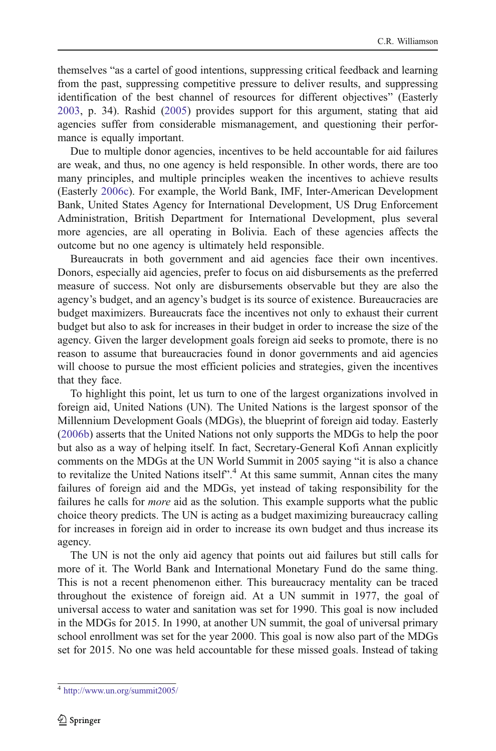themselves "as a cartel of good intentions, suppressing critical feedback and learning from the past, suppressing competitive pressure to deliver results, and suppressing identification of the best channel of resources for different objectives" (Easterly [2003,](#page-15-0) p. 34). Rashid ([2005\)](#page-15-0) provides support for this argument, stating that aid agencies suffer from considerable mismanagement, and questioning their performance is equally important.

Due to multiple donor agencies, incentives to be held accountable for aid failures are weak, and thus, no one agency is held responsible. In other words, there are too many principles, and multiple principles weaken the incentives to achieve results (Easterly [2006c](#page-15-0)). For example, the World Bank, IMF, Inter-American Development Bank, United States Agency for International Development, US Drug Enforcement Administration, British Department for International Development, plus several more agencies, are all operating in Bolivia. Each of these agencies affects the outcome but no one agency is ultimately held responsible.

Bureaucrats in both government and aid agencies face their own incentives. Donors, especially aid agencies, prefer to focus on aid disbursements as the preferred measure of success. Not only are disbursements observable but they are also the agency's budget, and an agency's budget is its source of existence. Bureaucracies are budget maximizers. Bureaucrats face the incentives not only to exhaust their current budget but also to ask for increases in their budget in order to increase the size of the agency. Given the larger development goals foreign aid seeks to promote, there is no reason to assume that bureaucracies found in donor governments and aid agencies will choose to pursue the most efficient policies and strategies, given the incentives that they face.

To highlight this point, let us turn to one of the largest organizations involved in foreign aid, United Nations (UN). The United Nations is the largest sponsor of the Millennium Development Goals (MDGs), the blueprint of foreign aid today. Easterly [\(2006b](#page-15-0)) asserts that the United Nations not only supports the MDGs to help the poor but also as a way of helping itself. In fact, Secretary-General Kofi Annan explicitly comments on the MDGs at the UN World Summit in 2005 saying "it is also a chance to revitalize the United Nations itself".<sup>4</sup> At this same summit, Annan cites the many failures of foreign aid and the MDGs, yet instead of taking responsibility for the failures he calls for more aid as the solution. This example supports what the public choice theory predicts. The UN is acting as a budget maximizing bureaucracy calling for increases in foreign aid in order to increase its own budget and thus increase its agency.

The UN is not the only aid agency that points out aid failures but still calls for more of it. The World Bank and International Monetary Fund do the same thing. This is not a recent phenomenon either. This bureaucracy mentality can be traced throughout the existence of foreign aid. At a UN summit in 1977, the goal of universal access to water and sanitation was set for 1990. This goal is now included in the MDGs for 2015. In 1990, at another UN summit, the goal of universal primary school enrollment was set for the year 2000. This goal is now also part of the MDGs set for 2015. No one was held accountable for these missed goals. Instead of taking

<sup>4</sup> <http://www.un.org/summit2005/>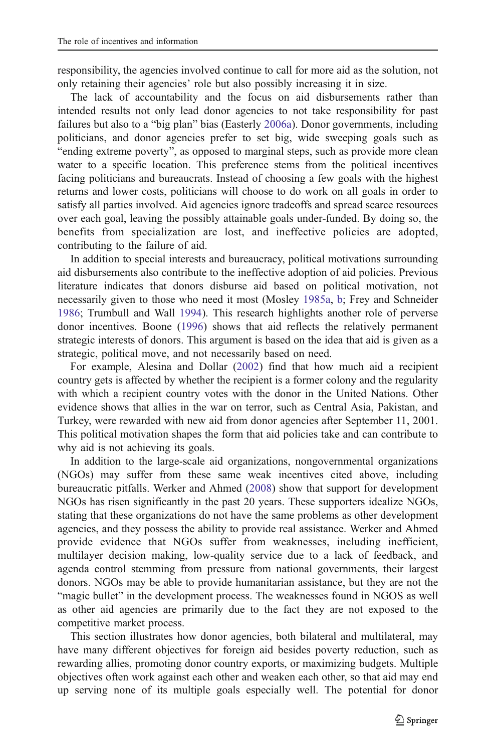responsibility, the agencies involved continue to call for more aid as the solution, not only retaining their agencies' role but also possibly increasing it in size.

The lack of accountability and the focus on aid disbursements rather than intended results not only lead donor agencies to not take responsibility for past failures but also to a "big plan" bias (Easterly [2006a\)](#page-15-0). Donor governments, including politicians, and donor agencies prefer to set big, wide sweeping goals such as "ending extreme poverty", as opposed to marginal steps, such as provide more clean water to a specific location. This preference stems from the political incentives facing politicians and bureaucrats. Instead of choosing a few goals with the highest returns and lower costs, politicians will choose to do work on all goals in order to satisfy all parties involved. Aid agencies ignore tradeoffs and spread scarce resources over each goal, leaving the possibly attainable goals under-funded. By doing so, the benefits from specialization are lost, and ineffective policies are adopted, contributing to the failure of aid.

In addition to special interests and bureaucracy, political motivations surrounding aid disbursements also contribute to the ineffective adoption of aid policies. Previous literature indicates that donors disburse aid based on political motivation, not necessarily given to those who need it most (Mosley [1985a,](#page-15-0) [b;](#page-15-0) Frey and Schneider [1986;](#page-15-0) Trumbull and Wall [1994\)](#page-15-0). This research highlights another role of perverse donor incentives. Boone [\(1996](#page-14-0)) shows that aid reflects the relatively permanent strategic interests of donors. This argument is based on the idea that aid is given as a strategic, political move, and not necessarily based on need.

For example, Alesina and Dollar ([2002\)](#page-14-0) find that how much aid a recipient country gets is affected by whether the recipient is a former colony and the regularity with which a recipient country votes with the donor in the United Nations. Other evidence shows that allies in the war on terror, such as Central Asia, Pakistan, and Turkey, were rewarded with new aid from donor agencies after September 11, 2001. This political motivation shapes the form that aid policies take and can contribute to why aid is not achieving its goals.

In addition to the large-scale aid organizations, nongovernmental organizations (NGOs) may suffer from these same weak incentives cited above, including bureaucratic pitfalls. Werker and Ahmed [\(2008](#page-16-0)) show that support for development NGOs has risen significantly in the past 20 years. These supporters idealize NGOs, stating that these organizations do not have the same problems as other development agencies, and they possess the ability to provide real assistance. Werker and Ahmed provide evidence that NGOs suffer from weaknesses, including inefficient, multilayer decision making, low-quality service due to a lack of feedback, and agenda control stemming from pressure from national governments, their largest donors. NGOs may be able to provide humanitarian assistance, but they are not the "magic bullet" in the development process. The weaknesses found in NGOS as well as other aid agencies are primarily due to the fact they are not exposed to the competitive market process.

This section illustrates how donor agencies, both bilateral and multilateral, may have many different objectives for foreign aid besides poverty reduction, such as rewarding allies, promoting donor country exports, or maximizing budgets. Multiple objectives often work against each other and weaken each other, so that aid may end up serving none of its multiple goals especially well. The potential for donor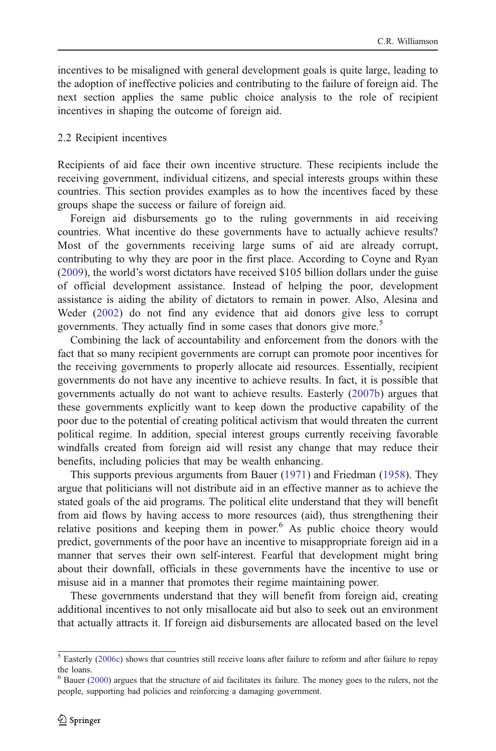incentives to be misaligned with general development goals is quite large, leading to the adoption of ineffective policies and contributing to the failure of foreign aid. The next section applies the same public choice analysis to the role of recipient incentives in shaping the outcome of foreign aid.

#### 2.2 Recipient incentives

Recipients of aid face their own incentive structure. These recipients include the receiving government, individual citizens, and special interests groups within these countries. This section provides examples as to how the incentives faced by these groups shape the success or failure of foreign aid.

Foreign aid disbursements go to the ruling governments in aid receiving countries. What incentive do these governments have to actually achieve results? Most of the governments receiving large sums of aid are already corrupt, contributing to why they are poor in the first place. According to Coyne and Ryan [\(2009](#page-15-0)), the world's worst dictators have received \$105 billion dollars under the guise of official development assistance. Instead of helping the poor, development assistance is aiding the ability of dictators to remain in power. Also, Alesina and Weder ([2002\)](#page-14-0) do not find any evidence that aid donors give less to corrupt governments. They actually find in some cases that donors give more.<sup>5</sup>

Combining the lack of accountability and enforcement from the donors with the fact that so many recipient governments are corrupt can promote poor incentives for the receiving governments to properly allocate aid resources. Essentially, recipient governments do not have any incentive to achieve results. In fact, it is possible that governments actually do not want to achieve results. Easterly ([2007b\)](#page-15-0) argues that these governments explicitly want to keep down the productive capability of the poor due to the potential of creating political activism that would threaten the current political regime. In addition, special interest groups currently receiving favorable windfalls created from foreign aid will resist any change that may reduce their benefits, including policies that may be wealth enhancing.

This supports previous arguments from Bauer [\(1971](#page-14-0)) and Friedman [\(1958](#page-15-0)). They argue that politicians will not distribute aid in an effective manner as to achieve the stated goals of the aid programs. The political elite understand that they will benefit from aid flows by having access to more resources (aid), thus strengthening their relative positions and keeping them in power.<sup>6</sup> As public choice theory would predict, governments of the poor have an incentive to misappropriate foreign aid in a manner that serves their own self-interest. Fearful that development might bring about their downfall, officials in these governments have the incentive to use or misuse aid in a manner that promotes their regime maintaining power.

These governments understand that they will benefit from foreign aid, creating additional incentives to not only misallocate aid but also to seek out an environment that actually attracts it. If foreign aid disbursements are allocated based on the level

<sup>5</sup> Easterly [\(2006c](#page-15-0)) shows that countries still receive loans after failure to reform and after failure to repay the loans.

 $<sup>6</sup>$  Bauer [\(2000\)](#page-14-0) argues that the structure of aid facilitates its failure. The money goes to the rulers, not the</sup> people, supporting bad policies and reinforcing a damaging government.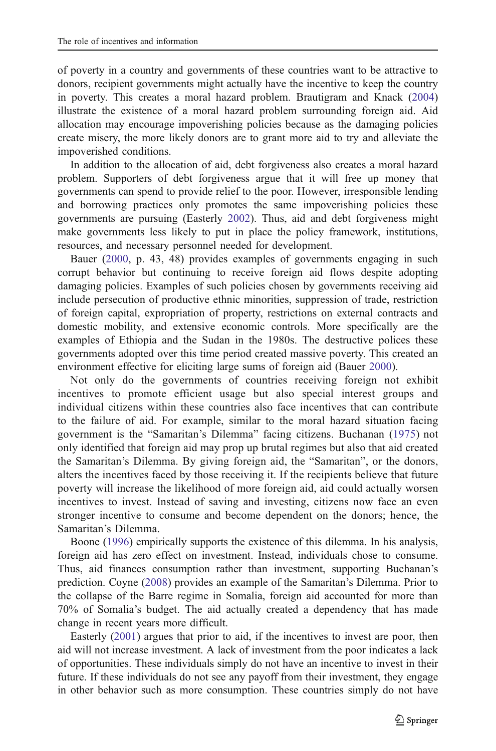of poverty in a country and governments of these countries want to be attractive to donors, recipient governments might actually have the incentive to keep the country in poverty. This creates a moral hazard problem. Brautigram and Knack [\(2004](#page-14-0)) illustrate the existence of a moral hazard problem surrounding foreign aid. Aid allocation may encourage impoverishing policies because as the damaging policies create misery, the more likely donors are to grant more aid to try and alleviate the impoverished conditions.

In addition to the allocation of aid, debt forgiveness also creates a moral hazard problem. Supporters of debt forgiveness argue that it will free up money that governments can spend to provide relief to the poor. However, irresponsible lending and borrowing practices only promotes the same impoverishing policies these governments are pursuing (Easterly [2002\)](#page-15-0). Thus, aid and debt forgiveness might make governments less likely to put in place the policy framework, institutions, resources, and necessary personnel needed for development.

Bauer ([2000,](#page-14-0) p. 43, 48) provides examples of governments engaging in such corrupt behavior but continuing to receive foreign aid flows despite adopting damaging policies. Examples of such policies chosen by governments receiving aid include persecution of productive ethnic minorities, suppression of trade, restriction of foreign capital, expropriation of property, restrictions on external contracts and domestic mobility, and extensive economic controls. More specifically are the examples of Ethiopia and the Sudan in the 1980s. The destructive polices these governments adopted over this time period created massive poverty. This created an environment effective for eliciting large sums of foreign aid (Bauer [2000](#page-14-0)).

Not only do the governments of countries receiving foreign not exhibit incentives to promote efficient usage but also special interest groups and individual citizens within these countries also face incentives that can contribute to the failure of aid. For example, similar to the moral hazard situation facing government is the "Samaritan's Dilemma" facing citizens. Buchanan [\(1975\)](#page-14-0) not only identified that foreign aid may prop up brutal regimes but also that aid created the Samaritan's Dilemma. By giving foreign aid, the "Samaritan", or the donors, alters the incentives faced by those receiving it. If the recipients believe that future poverty will increase the likelihood of more foreign aid, aid could actually worsen incentives to invest. Instead of saving and investing, citizens now face an even stronger incentive to consume and become dependent on the donors; hence, the Samaritan's Dilemma.

Boone ([1996\)](#page-14-0) empirically supports the existence of this dilemma. In his analysis, foreign aid has zero effect on investment. Instead, individuals chose to consume. Thus, aid finances consumption rather than investment, supporting Buchanan's prediction. Coyne ([2008\)](#page-15-0) provides an example of the Samaritan's Dilemma. Prior to the collapse of the Barre regime in Somalia, foreign aid accounted for more than 70% of Somalia's budget. The aid actually created a dependency that has made change in recent years more difficult.

Easterly [\(2001](#page-15-0)) argues that prior to aid, if the incentives to invest are poor, then aid will not increase investment. A lack of investment from the poor indicates a lack of opportunities. These individuals simply do not have an incentive to invest in their future. If these individuals do not see any payoff from their investment, they engage in other behavior such as more consumption. These countries simply do not have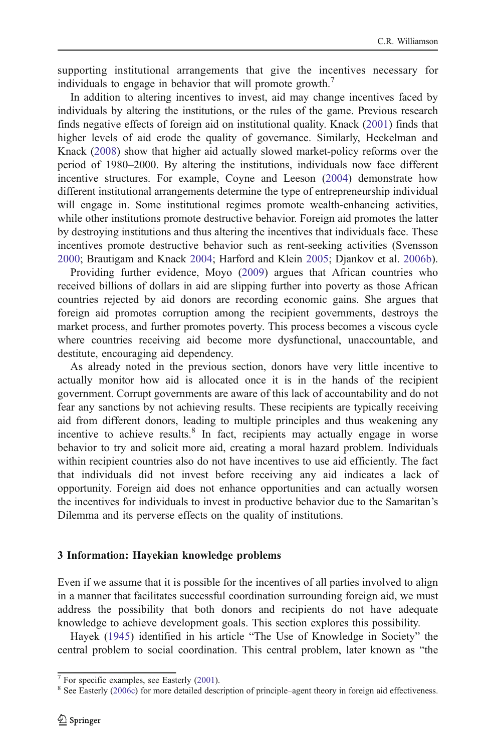<span id="page-9-0"></span>supporting institutional arrangements that give the incentives necessary for individuals to engage in behavior that will promote growth.<sup>7</sup>

In addition to altering incentives to invest, aid may change incentives faced by individuals by altering the institutions, or the rules of the game. Previous research finds negative effects of foreign aid on institutional quality. Knack ([2001\)](#page-15-0) finds that higher levels of aid erode the quality of governance. Similarly, Heckelman and Knack ([2008](#page-15-0)) show that higher aid actually slowed market-policy reforms over the period of 1980–2000. By altering the institutions, individuals now face different incentive structures. For example, Coyne and Leeson ([2004\)](#page-15-0) demonstrate how different institutional arrangements determine the type of entrepreneurship individual will engage in. Some institutional regimes promote wealth-enhancing activities, while other institutions promote destructive behavior. Foreign aid promotes the latter by destroying institutions and thus altering the incentives that individuals face. These incentives promote destructive behavior such as rent-seeking activities (Svensson [2000;](#page-15-0) Brautigam and Knack [2004](#page-14-0); Harford and Klein [2005](#page-15-0); Djankov et al. [2006b\)](#page-15-0).

Providing further evidence, Moyo [\(2009](#page-15-0)) argues that African countries who received billions of dollars in aid are slipping further into poverty as those African countries rejected by aid donors are recording economic gains. She argues that foreign aid promotes corruption among the recipient governments, destroys the market process, and further promotes poverty. This process becomes a viscous cycle where countries receiving aid become more dysfunctional, unaccountable, and destitute, encouraging aid dependency.

As already noted in the previous section, donors have very little incentive to actually monitor how aid is allocated once it is in the hands of the recipient government. Corrupt governments are aware of this lack of accountability and do not fear any sanctions by not achieving results. These recipients are typically receiving aid from different donors, leading to multiple principles and thus weakening any incentive to achieve results. $8 \text{ In fact, recipients may actually engage in worse}$ behavior to try and solicit more aid, creating a moral hazard problem. Individuals within recipient countries also do not have incentives to use aid efficiently. The fact that individuals did not invest before receiving any aid indicates a lack of opportunity. Foreign aid does not enhance opportunities and can actually worsen the incentives for individuals to invest in productive behavior due to the Samaritan's Dilemma and its perverse effects on the quality of institutions.

#### 3 Information: Hayekian knowledge problems

Even if we assume that it is possible for the incentives of all parties involved to align in a manner that facilitates successful coordination surrounding foreign aid, we must address the possibility that both donors and recipients do not have adequate knowledge to achieve development goals. This section explores this possibility.

Hayek ([1945\)](#page-15-0) identified in his article "The Use of Knowledge in Society" the central problem to social coordination. This central problem, later known as "the

<sup>&</sup>lt;sup>7</sup> For specific examples, see Easterly ([2001\)](#page-15-0).<br><sup>8</sup> See Easterly [\(2006c\)](#page-15-0) for more detailed description of principle–agent theory in foreign aid effectiveness.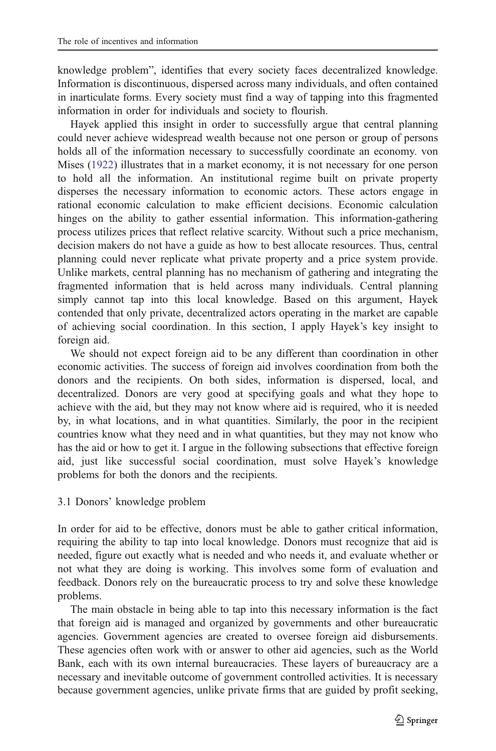knowledge problem", identifies that every society faces decentralized knowledge. Information is discontinuous, dispersed across many individuals, and often contained in inarticulate forms. Every society must find a way of tapping into this fragmented information in order for individuals and society to flourish.

Hayek applied this insight in order to successfully argue that central planning could never achieve widespread wealth because not one person or group of persons holds all of the information necessary to successfully coordinate an economy. von Mises ([1922\)](#page-16-0) illustrates that in a market economy, it is not necessary for one person to hold all the information. An institutional regime built on private property disperses the necessary information to economic actors. These actors engage in rational economic calculation to make efficient decisions. Economic calculation hinges on the ability to gather essential information. This information-gathering process utilizes prices that reflect relative scarcity. Without such a price mechanism, decision makers do not have a guide as how to best allocate resources. Thus, central planning could never replicate what private property and a price system provide. Unlike markets, central planning has no mechanism of gathering and integrating the fragmented information that is held across many individuals. Central planning simply cannot tap into this local knowledge. Based on this argument, Hayek contended that only private, decentralized actors operating in the market are capable of achieving social coordination. In this section, I apply Hayek's key insight to foreign aid.

We should not expect foreign aid to be any different than coordination in other economic activities. The success of foreign aid involves coordination from both the donors and the recipients. On both sides, information is dispersed, local, and decentralized. Donors are very good at specifying goals and what they hope to achieve with the aid, but they may not know where aid is required, who it is needed by, in what locations, and in what quantities. Similarly, the poor in the recipient countries know what they need and in what quantities, but they may not know who has the aid or how to get it. I argue in the following subsections that effective foreign aid, just like successful social coordination, must solve Hayek's knowledge problems for both the donors and the recipients.

## 3.1 Donors' knowledge problem

In order for aid to be effective, donors must be able to gather critical information, requiring the ability to tap into local knowledge. Donors must recognize that aid is needed, figure out exactly what is needed and who needs it, and evaluate whether or not what they are doing is working. This involves some form of evaluation and feedback. Donors rely on the bureaucratic process to try and solve these knowledge problems.

The main obstacle in being able to tap into this necessary information is the fact that foreign aid is managed and organized by governments and other bureaucratic agencies. Government agencies are created to oversee foreign aid disbursements. These agencies often work with or answer to other aid agencies, such as the World Bank, each with its own internal bureaucracies. These layers of bureaucracy are a necessary and inevitable outcome of government controlled activities. It is necessary because government agencies, unlike private firms that are guided by profit seeking,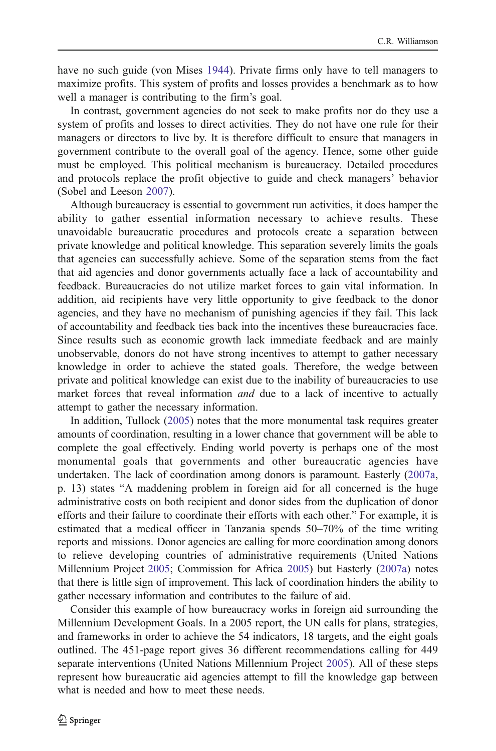have no such guide (von Mises [1944](#page-16-0)). Private firms only have to tell managers to maximize profits. This system of profits and losses provides a benchmark as to how well a manager is contributing to the firm's goal.

In contrast, government agencies do not seek to make profits nor do they use a system of profits and losses to direct activities. They do not have one rule for their managers or directors to live by. It is therefore difficult to ensure that managers in government contribute to the overall goal of the agency. Hence, some other guide must be employed. This political mechanism is bureaucracy. Detailed procedures and protocols replace the profit objective to guide and check managers' behavior (Sobel and Leeson [2007\)](#page-15-0).

Although bureaucracy is essential to government run activities, it does hamper the ability to gather essential information necessary to achieve results. These unavoidable bureaucratic procedures and protocols create a separation between private knowledge and political knowledge. This separation severely limits the goals that agencies can successfully achieve. Some of the separation stems from the fact that aid agencies and donor governments actually face a lack of accountability and feedback. Bureaucracies do not utilize market forces to gain vital information. In addition, aid recipients have very little opportunity to give feedback to the donor agencies, and they have no mechanism of punishing agencies if they fail. This lack of accountability and feedback ties back into the incentives these bureaucracies face. Since results such as economic growth lack immediate feedback and are mainly unobservable, donors do not have strong incentives to attempt to gather necessary knowledge in order to achieve the stated goals. Therefore, the wedge between private and political knowledge can exist due to the inability of bureaucracies to use market forces that reveal information *and* due to a lack of incentive to actually attempt to gather the necessary information.

In addition, Tullock [\(2005](#page-16-0)) notes that the more monumental task requires greater amounts of coordination, resulting in a lower chance that government will be able to complete the goal effectively. Ending world poverty is perhaps one of the most monumental goals that governments and other bureaucratic agencies have undertaken. The lack of coordination among donors is paramount. Easterly ([2007a,](#page-15-0) p. 13) states "A maddening problem in foreign aid for all concerned is the huge administrative costs on both recipient and donor sides from the duplication of donor efforts and their failure to coordinate their efforts with each other." For example, it is estimated that a medical officer in Tanzania spends 50–70% of the time writing reports and missions. Donor agencies are calling for more coordination among donors to relieve developing countries of administrative requirements (United Nations Millennium Project [2005;](#page-16-0) Commission for Africa [2005](#page-14-0)) but Easterly ([2007a\)](#page-15-0) notes that there is little sign of improvement. This lack of coordination hinders the ability to gather necessary information and contributes to the failure of aid.

Consider this example of how bureaucracy works in foreign aid surrounding the Millennium Development Goals. In a 2005 report, the UN calls for plans, strategies, and frameworks in order to achieve the 54 indicators, 18 targets, and the eight goals outlined. The 451-page report gives 36 different recommendations calling for 449 separate interventions (United Nations Millennium Project [2005](#page-16-0)). All of these steps represent how bureaucratic aid agencies attempt to fill the knowledge gap between what is needed and how to meet these needs.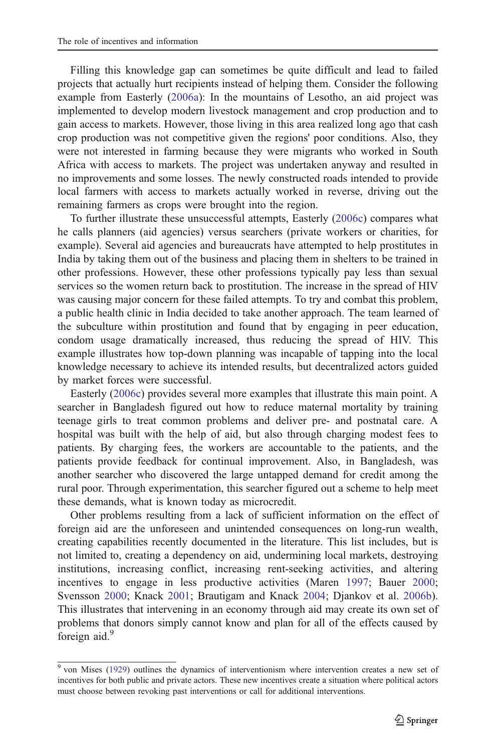Filling this knowledge gap can sometimes be quite difficult and lead to failed projects that actually hurt recipients instead of helping them. Consider the following example from Easterly ([2006a](#page-15-0)): In the mountains of Lesotho, an aid project was implemented to develop modern livestock management and crop production and to gain access to markets. However, those living in this area realized long ago that cash crop production was not competitive given the regions' poor conditions. Also, they were not interested in farming because they were migrants who worked in South Africa with access to markets. The project was undertaken anyway and resulted in no improvements and some losses. The newly constructed roads intended to provide local farmers with access to markets actually worked in reverse, driving out the remaining farmers as crops were brought into the region.

To further illustrate these unsuccessful attempts, Easterly ([2006c\)](#page-15-0) compares what he calls planners (aid agencies) versus searchers (private workers or charities, for example). Several aid agencies and bureaucrats have attempted to help prostitutes in India by taking them out of the business and placing them in shelters to be trained in other professions. However, these other professions typically pay less than sexual services so the women return back to prostitution. The increase in the spread of HIV was causing major concern for these failed attempts. To try and combat this problem, a public health clinic in India decided to take another approach. The team learned of the subculture within prostitution and found that by engaging in peer education, condom usage dramatically increased, thus reducing the spread of HIV. This example illustrates how top-down planning was incapable of tapping into the local knowledge necessary to achieve its intended results, but decentralized actors guided by market forces were successful.

Easterly ([2006c\)](#page-15-0) provides several more examples that illustrate this main point. A searcher in Bangladesh figured out how to reduce maternal mortality by training teenage girls to treat common problems and deliver pre- and postnatal care. A hospital was built with the help of aid, but also through charging modest fees to patients. By charging fees, the workers are accountable to the patients, and the patients provide feedback for continual improvement. Also, in Bangladesh, was another searcher who discovered the large untapped demand for credit among the rural poor. Through experimentation, this searcher figured out a scheme to help meet these demands, what is known today as microcredit.

Other problems resulting from a lack of sufficient information on the effect of foreign aid are the unforeseen and unintended consequences on long-run wealth, creating capabilities recently documented in the literature. This list includes, but is not limited to, creating a dependency on aid, undermining local markets, destroying institutions, increasing conflict, increasing rent-seeking activities, and altering incentives to engage in less productive activities (Maren [1997;](#page-15-0) Bauer [2000;](#page-14-0) Svensson [2000](#page-15-0); Knack [2001;](#page-15-0) Brautigam and Knack [2004;](#page-14-0) Djankov et al. [2006b\)](#page-15-0). This illustrates that intervening in an economy through aid may create its own set of problems that donors simply cannot know and plan for all of the effects caused by foreign aid.<sup>9</sup>

 $\frac{9}{9}$  von Mises ([1929](#page-16-0)) outlines the dynamics of interventionism where intervention creates a new set of incentives for both public and private actors. These new incentives create a situation where political actors must choose between revoking past interventions or call for additional interventions.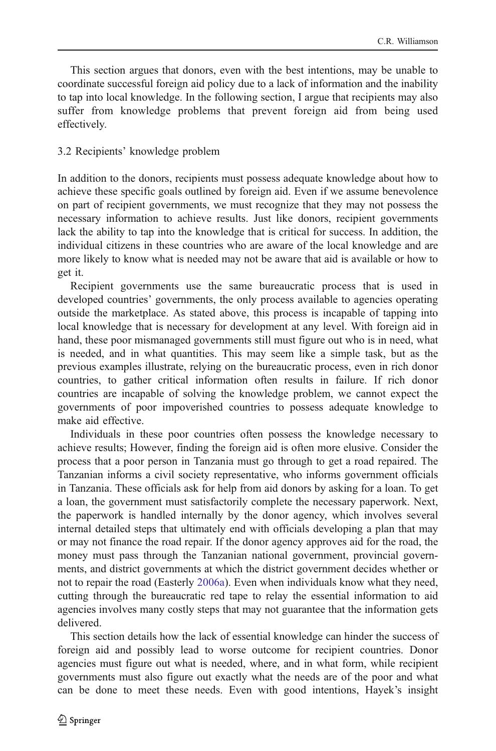This section argues that donors, even with the best intentions, may be unable to coordinate successful foreign aid policy due to a lack of information and the inability to tap into local knowledge. In the following section, I argue that recipients may also suffer from knowledge problems that prevent foreign aid from being used effectively.

# 3.2 Recipients' knowledge problem

In addition to the donors, recipients must possess adequate knowledge about how to achieve these specific goals outlined by foreign aid. Even if we assume benevolence on part of recipient governments, we must recognize that they may not possess the necessary information to achieve results. Just like donors, recipient governments lack the ability to tap into the knowledge that is critical for success. In addition, the individual citizens in these countries who are aware of the local knowledge and are more likely to know what is needed may not be aware that aid is available or how to get it.

Recipient governments use the same bureaucratic process that is used in developed countries' governments, the only process available to agencies operating outside the marketplace. As stated above, this process is incapable of tapping into local knowledge that is necessary for development at any level. With foreign aid in hand, these poor mismanaged governments still must figure out who is in need, what is needed, and in what quantities. This may seem like a simple task, but as the previous examples illustrate, relying on the bureaucratic process, even in rich donor countries, to gather critical information often results in failure. If rich donor countries are incapable of solving the knowledge problem, we cannot expect the governments of poor impoverished countries to possess adequate knowledge to make aid effective.

Individuals in these poor countries often possess the knowledge necessary to achieve results; However, finding the foreign aid is often more elusive. Consider the process that a poor person in Tanzania must go through to get a road repaired. The Tanzanian informs a civil society representative, who informs government officials in Tanzania. These officials ask for help from aid donors by asking for a loan. To get a loan, the government must satisfactorily complete the necessary paperwork. Next, the paperwork is handled internally by the donor agency, which involves several internal detailed steps that ultimately end with officials developing a plan that may or may not finance the road repair. If the donor agency approves aid for the road, the money must pass through the Tanzanian national government, provincial governments, and district governments at which the district government decides whether or not to repair the road (Easterly [2006a](#page-15-0)). Even when individuals know what they need, cutting through the bureaucratic red tape to relay the essential information to aid agencies involves many costly steps that may not guarantee that the information gets delivered.

This section details how the lack of essential knowledge can hinder the success of foreign aid and possibly lead to worse outcome for recipient countries. Donor agencies must figure out what is needed, where, and in what form, while recipient governments must also figure out exactly what the needs are of the poor and what can be done to meet these needs. Even with good intentions, Hayek's insight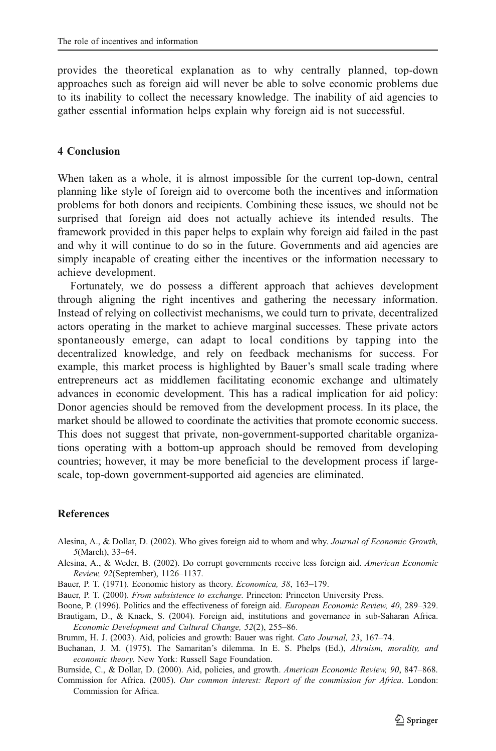<span id="page-14-0"></span>provides the theoretical explanation as to why centrally planned, top-down approaches such as foreign aid will never be able to solve economic problems due to its inability to collect the necessary knowledge. The inability of aid agencies to gather essential information helps explain why foreign aid is not successful.

### 4 Conclusion

When taken as a whole, it is almost impossible for the current top-down, central planning like style of foreign aid to overcome both the incentives and information problems for both donors and recipients. Combining these issues, we should not be surprised that foreign aid does not actually achieve its intended results. The framework provided in this paper helps to explain why foreign aid failed in the past and why it will continue to do so in the future. Governments and aid agencies are simply incapable of creating either the incentives or the information necessary to achieve development.

Fortunately, we do possess a different approach that achieves development through aligning the right incentives and gathering the necessary information. Instead of relying on collectivist mechanisms, we could turn to private, decentralized actors operating in the market to achieve marginal successes. These private actors spontaneously emerge, can adapt to local conditions by tapping into the decentralized knowledge, and rely on feedback mechanisms for success. For example, this market process is highlighted by Bauer's small scale trading where entrepreneurs act as middlemen facilitating economic exchange and ultimately advances in economic development. This has a radical implication for aid policy: Donor agencies should be removed from the development process. In its place, the market should be allowed to coordinate the activities that promote economic success. This does not suggest that private, non-government-supported charitable organizations operating with a bottom-up approach should be removed from developing countries; however, it may be more beneficial to the development process if largescale, top-down government-supported aid agencies are eliminated.

## References

- Alesina, A., & Dollar, D. (2002). Who gives foreign aid to whom and why. Journal of Economic Growth, 5(March), 33–64.
- Alesina, A., & Weder, B. (2002). Do corrupt governments receive less foreign aid. American Economic Review, 92(September), 1126–1137.
- Bauer, P. T. (1971). Economic history as theory. Economica, 38, 163–179.
- Bauer, P. T. (2000). From subsistence to exchange. Princeton: Princeton University Press.
- Boone, P. (1996). Politics and the effectiveness of foreign aid. European Economic Review, 40, 289–329. Brautigam, D., & Knack, S. (2004). Foreign aid, institutions and governance in sub-Saharan Africa.
- Economic Development and Cultural Change, 52(2), 255–86.
- Brumm, H. J. (2003). Aid, policies and growth: Bauer was right. Cato Journal, 23, 167-74.
- Buchanan, J. M. (1975). The Samaritan's dilemma. In E. S. Phelps (Ed.), Altruism, morality, and economic theory. New York: Russell Sage Foundation.
- Burnside, C., & Dollar, D. (2000). Aid, policies, and growth. American Economic Review, 90, 847-868.

Commission for Africa. (2005). Our common interest: Report of the commission for Africa. London: Commission for Africa.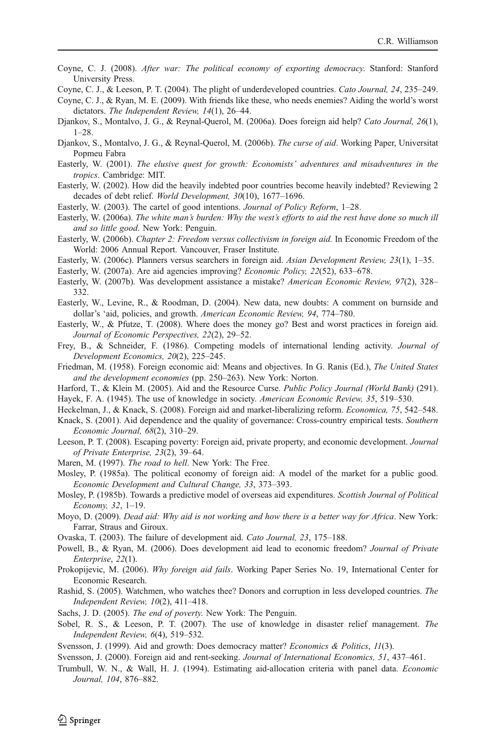<span id="page-15-0"></span>Coyne, C. J. (2008). After war: The political economy of exporting democracy. Stanford: Stanford University Press.

Coyne, C. J., & Leeson, P. T. (2004). The plight of underdeveloped countries. Cato Journal, 24, 235–249.

- Coyne, C. J., & Ryan, M. E. (2009). With friends like these, who needs enemies? Aiding the world's worst dictators. The Independent Review, 14(1), 26–44.
- Diankov, S., Montalvo, J. G., & Reynal-Ouerol, M. (2006a). Does foreign aid help? Cato Journal, 26(1), 1–28.
- Djankov, S., Montalvo, J. G., & Reynal-Querol, M. (2006b). The curse of aid. Working Paper, Universitat Popmeu Fabra
- Easterly, W. (2001). The elusive quest for growth: Economists' adventures and misadventures in the tropics. Cambridge: MIT.
- Easterly, W. (2002). How did the heavily indebted poor countries become heavily indebted? Reviewing 2 decades of debt relief. World Development, 30(10), 1677–1696.
- Easterly, W. (2003). The cartel of good intentions. Journal of Policy Reform, 1–28.
- Easterly, W. (2006a). The white man's burden: Why the west's efforts to aid the rest have done so much ill and so little good. New York: Penguin.
- Easterly, W. (2006b). Chapter 2: Freedom versus collectivism in foreign aid. In Economic Freedom of the World: 2006 Annual Report. Vancouver, Fraser Institute.
- Easterly, W. (2006c). Planners versus searchers in foreign aid. Asian Development Review, 23(1), 1–35.
- Easterly, W. (2007a). Are aid agencies improving? Economic Policy, 22(52), 633–678.
- Easterly, W. (2007b). Was development assistance a mistake? American Economic Review, 97(2), 328– 332.
- Easterly, W., Levine, R., & Roodman, D. (2004). New data, new doubts: A comment on burnside and dollar's 'aid, policies, and growth. American Economic Review, 94, 774–780.
- Easterly, W., & Pfutze, T. (2008). Where does the money go? Best and worst practices in foreign aid. Journal of Economic Perspectives, 22(2), 29–52.
- Frey, B., & Schneider, F. (1986). Competing models of international lending activity. Journal of Development Economics, 20(2), 225–245.
- Friedman, M. (1958). Foreign economic aid: Means and objectives. In G. Ranis (Ed.), The United States and the development economies (pp. 250–263). New York: Norton.
- Harford, T., & Klein M. (2005). Aid and the Resource Curse. Public Policy Journal (World Bank) (291).
- Hayek, F. A. (1945). The use of knowledge in society. American Economic Review, 35, 519–530.
- Heckelman, J., & Knack, S. (2008). Foreign aid and market-liberalizing reform. Economica, 75, 542–548.
- Knack, S. (2001). Aid dependence and the quality of governance: Cross-country empirical tests. Southern Economic Journal, 68(2), 310–29.
- Leeson, P. T. (2008). Escaping poverty: Foreign aid, private property, and economic development. Journal of Private Enterprise, 23(2), 39–64.
- Maren, M. (1997). The road to hell. New York: The Free.
- Mosley, P. (1985a). The political economy of foreign aid: A model of the market for a public good. Economic Development and Cultural Change, 33, 373–393.
- Mosley, P. (1985b). Towards a predictive model of overseas aid expenditures. Scottish Journal of Political Economy, 32, 1–19.
- Moyo, D. (2009). Dead aid: Why aid is not working and how there is a better way for Africa. New York: Farrar, Straus and Giroux.
- Ovaska, T. (2003). The failure of development aid. Cato Journal, 23, 175–188.
- Powell, B., & Ryan, M. (2006). Does development aid lead to economic freedom? Journal of Private Enterprise, 22(1).
- Prokopijevic, M. (2006). Why foreign aid fails. Working Paper Series No. 19, International Center for Economic Research.
- Rashid, S. (2005). Watchmen, who watches thee? Donors and corruption in less developed countries. The Independent Review, 10(2), 411–418.
- Sachs, J. D. (2005). The end of poverty. New York: The Penguin.
- Sobel, R. S., & Leeson, P. T. (2007). The use of knowledge in disaster relief management. The Independent Review, 6(4), 519–532.
- Svensson, J. (1999). Aid and growth: Does democracy matter? *Economics & Politics*, 11(3).
- Svensson, J. (2000). Foreign aid and rent-seeking. Journal of International Economics, 51, 437–461.
- Trumbull, W. N., & Wall, H. J. (1994). Estimating aid-allocation criteria with panel data. Economic Journal, 104, 876–882.